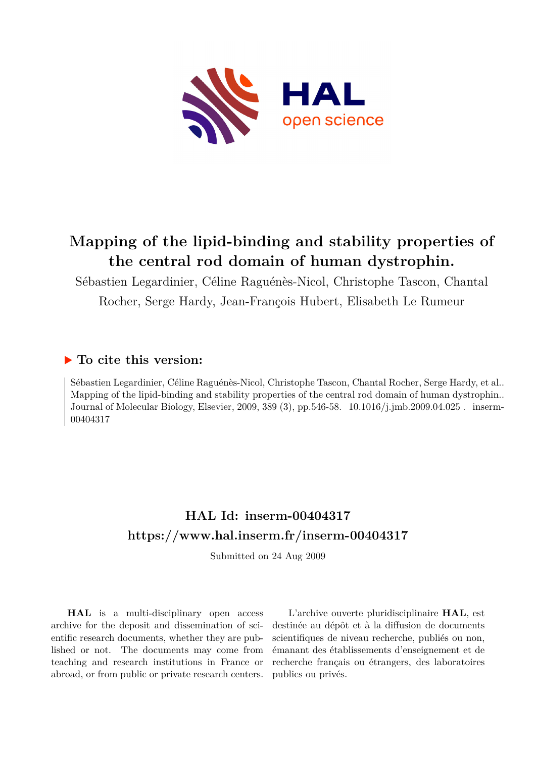

# **Mapping of the lipid-binding and stability properties of the central rod domain of human dystrophin.**

Sébastien Legardinier, Céline Raguénès-Nicol, Christophe Tascon, Chantal Rocher, Serge Hardy, Jean-François Hubert, Elisabeth Le Rumeur

# **To cite this version:**

Sébastien Legardinier, Céline Raguénès-Nicol, Christophe Tascon, Chantal Rocher, Serge Hardy, et al.. Mapping of the lipid-binding and stability properties of the central rod domain of human dystrophin.. Journal of Molecular Biology, Elsevier, 2009, 389 (3), pp.546-58. 10.1016/j.jmb.2009.04.025. inserm-00404317

# **HAL Id: inserm-00404317 <https://www.hal.inserm.fr/inserm-00404317>**

Submitted on 24 Aug 2009

**HAL** is a multi-disciplinary open access archive for the deposit and dissemination of scientific research documents, whether they are published or not. The documents may come from teaching and research institutions in France or abroad, or from public or private research centers.

L'archive ouverte pluridisciplinaire **HAL**, est destinée au dépôt et à la diffusion de documents scientifiques de niveau recherche, publiés ou non, émanant des établissements d'enseignement et de recherche français ou étrangers, des laboratoires publics ou privés.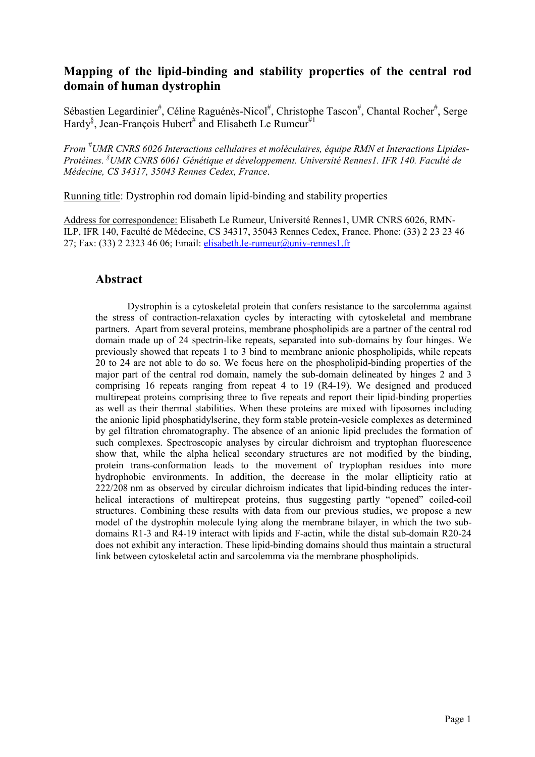# Mapping of the lipid-binding and stability properties of the central rod domain of human dystrophin

Sébastien Legardinier<sup>#</sup>, Céline Raguénès-Nicol<sup>#</sup>, Christophe Tascon<sup>#</sup>, Chantal Rocher<sup>#</sup>, Serge Hardy<sup>§</sup>, Jean-François Hubert<sup>#</sup> and Elisabeth Le Rumeur<sup>#1</sup>

From #UMR CNRS 6026 Interactions cellulaires et moléculaires, équipe RMN et Interactions Lipides-Protéines. <sup>§</sup>UMR CNRS 6061 Génétique et développement. Université Rennes1. IFR 140. Faculté de Médecine, CS 34317, 35043 Rennes Cedex, France.

Running title: Dystrophin rod domain lipid-binding and stability properties

Address for correspondence: Elisabeth Le Rumeur, Université Rennes1, UMR CNRS 6026, RMN-ILP, IFR 140, Faculté de Médecine, CS 34317, 35043 Rennes Cedex, France. Phone: (33) 2 23 23 46 27; Fax: (33) 2 2323 46 06; Email: elisabeth.le-rumeur@univ-rennes1.fr

### Abstract

Dystrophin is a cytoskeletal protein that confers resistance to the sarcolemma against the stress of contraction-relaxation cycles by interacting with cytoskeletal and membrane partners. Apart from several proteins, membrane phospholipids are a partner of the central rod domain made up of 24 spectrin-like repeats, separated into sub-domains by four hinges. We previously showed that repeats 1 to 3 bind to membrane anionic phospholipids, while repeats 20 to 24 are not able to do so. We focus here on the phospholipid-binding properties of the major part of the central rod domain, namely the sub-domain delineated by hinges 2 and 3 comprising 16 repeats ranging from repeat 4 to 19 (R4-19). We designed and produced multirepeat proteins comprising three to five repeats and report their lipid-binding properties as well as their thermal stabilities. When these proteins are mixed with liposomes including the anionic lipid phosphatidylserine, they form stable protein-vesicle complexes as determined by gel filtration chromatography. The absence of an anionic lipid precludes the formation of such complexes. Spectroscopic analyses by circular dichroism and tryptophan fluorescence show that, while the alpha helical secondary structures are not modified by the binding, protein trans-conformation leads to the movement of tryptophan residues into more hydrophobic environments. In addition, the decrease in the molar ellipticity ratio at 222/208 nm as observed by circular dichroism indicates that lipid-binding reduces the interhelical interactions of multirepeat proteins, thus suggesting partly "opened" coiled-coil structures. Combining these results with data from our previous studies, we propose a new model of the dystrophin molecule lying along the membrane bilayer, in which the two subdomains R1-3 and R4-19 interact with lipids and F-actin, while the distal sub-domain R20-24 does not exhibit any interaction. These lipid-binding domains should thus maintain a structural link between cytoskeletal actin and sarcolemma via the membrane phospholipids.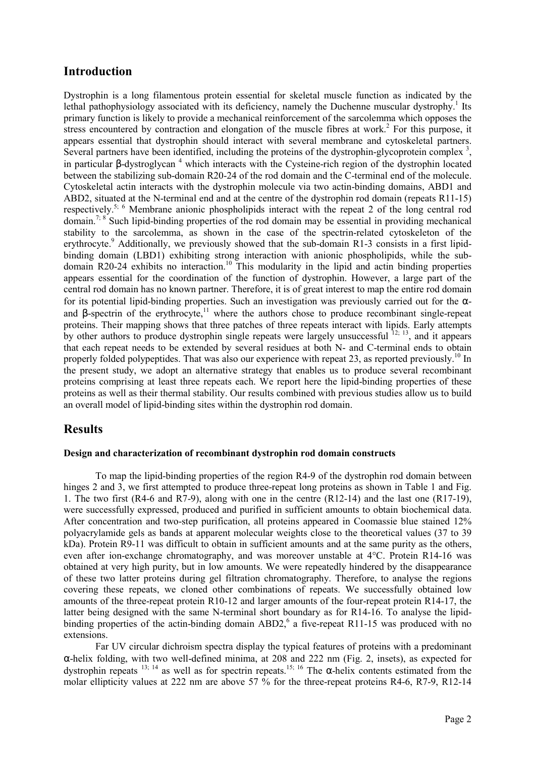# Introduction

Dystrophin is a long filamentous protein essential for skeletal muscle function as indicated by the lethal pathophysiology associated with its deficiency, namely the Duchenne muscular dystrophy.<sup>1</sup> Its primary function is likely to provide a mechanical reinforcement of the sarcolemma which opposes the stress encountered by contraction and elongation of the muscle fibres at work.<sup>2</sup> For this purpose, it appears essential that dystrophin should interact with several membrane and cytoskeletal partners. Several partners have been identified, including the proteins of the dystrophin-glycoprotein complex  $3$ , in particular  $\beta$ -dystroglycan<sup>4</sup> which interacts with the Cysteine-rich region of the dystrophin located between the stabilizing sub-domain R20-24 of the rod domain and the C-terminal end of the molecule. Cytoskeletal actin interacts with the dystrophin molecule via two actin-binding domains, ABD1 and ABD2, situated at the N-terminal end and at the centre of the dystrophin rod domain (repeats R11-15) respectively.5; 6 Membrane anionic phospholipids interact with the repeat 2 of the long central rod domain.<sup>7; 8</sup> Such lipid-binding properties of the rod domain may be essential in providing mechanical stability to the sarcolemma, as shown in the case of the spectrin-related cytoskeleton of the erythrocyte.<sup>9</sup> Additionally, we previously showed that the sub-domain R1-3 consists in a first lipidbinding domain (LBD1) exhibiting strong interaction with anionic phospholipids, while the subdomain R20-24 exhibits no interaction.<sup>10</sup> This modularity in the lipid and actin binding properties appears essential for the coordination of the function of dystrophin. However, a large part of the central rod domain has no known partner. Therefore, it is of great interest to map the entire rod domain for its potential lipid-binding properties. Such an investigation was previously carried out for the  $\alpha$ and  $\beta$ -spectrin of the erythrocyte,<sup>11</sup> where the authors chose to produce recombinant single-repeat proteins. Their mapping shows that three patches of three repeats interact with lipids. Early attempts by other authors to produce dystrophin single repeats were largely unsuccessful  $^{12; 13}$ , and it appears that each repeat needs to be extended by several residues at both N- and C-terminal ends to obtain properly folded polypeptides. That was also our experience with repeat 23, as reported previously.<sup>10</sup> In the present study, we adopt an alternative strategy that enables us to produce several recombinant proteins comprising at least three repeats each. We report here the lipid-binding properties of these proteins as well as their thermal stability. Our results combined with previous studies allow us to build an overall model of lipid-binding sites within the dystrophin rod domain.

# Results

### Design and characterization of recombinant dystrophin rod domain constructs

To map the lipid-binding properties of the region R4-9 of the dystrophin rod domain between hinges 2 and 3, we first attempted to produce three-repeat long proteins as shown in Table 1 and Fig. 1. The two first (R4-6 and R7-9), along with one in the centre (R12-14) and the last one (R17-19), were successfully expressed, produced and purified in sufficient amounts to obtain biochemical data. After concentration and two-step purification, all proteins appeared in Coomassie blue stained 12% polyacrylamide gels as bands at apparent molecular weights close to the theoretical values (37 to 39 kDa). Protein R9-11 was difficult to obtain in sufficient amounts and at the same purity as the others, even after ion-exchange chromatography, and was moreover unstable at 4°C. Protein R14-16 was obtained at very high purity, but in low amounts. We were repeatedly hindered by the disappearance of these two latter proteins during gel filtration chromatography. Therefore, to analyse the regions covering these repeats, we cloned other combinations of repeats. We successfully obtained low amounts of the three-repeat protein R10-12 and larger amounts of the four-repeat protein R14-17, the latter being designed with the same N-terminal short boundary as for R14-16. To analyse the lipidbinding properties of the actin-binding domain ABD2,<sup>6</sup> a five-repeat R11-15 was produced with no extensions.

Far UV circular dichroism spectra display the typical features of proteins with a predominant α-helix folding, with two well-defined minima, at 208 and 222 nm (Fig. 2, insets), as expected for dystrophin repeats  $13$ ;  $14$  as well as for spectrin repeats.<sup>15; 16</sup> The α-helix contents estimated from the molar ellipticity values at 222 nm are above 57  $\frac{6}{10}$  for the three-repeat proteins R4-6, R7-9, R12-14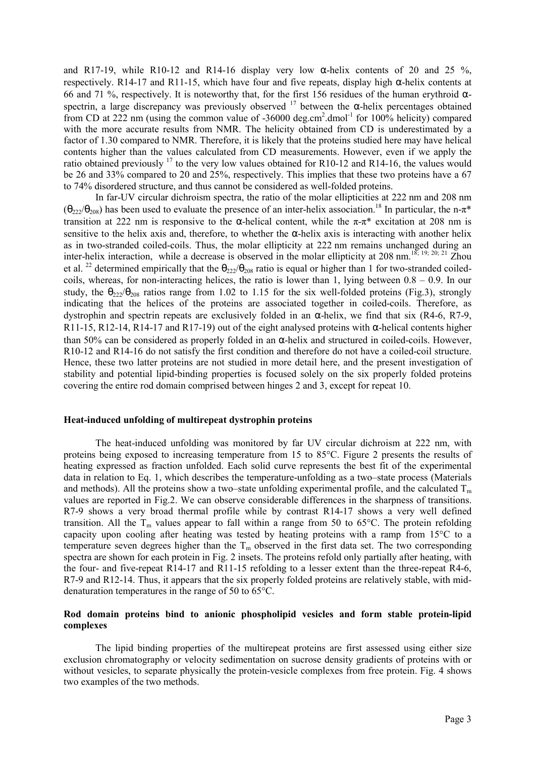and R17-19, while R10-12 and R14-16 display very low  $\alpha$ -helix contents of 20 and 25 %, respectively. R14-17 and R11-15, which have four and five repeats, display high α-helix contents at 66 and 71 %, respectively. It is noteworthy that, for the first 156 residues of the human erythroid  $\alpha$ spectrin, a large discrepancy was previously observed  $17$  between the  $\alpha$ -helix percentages obtained from CD at 222 nm (using the common value of -36000 deg.cm<sup>2</sup>.dmol<sup>-1</sup> for 100% helicity) compared with the more accurate results from NMR. The helicity obtained from CD is underestimated by a factor of 1.30 compared to NMR. Therefore, it is likely that the proteins studied here may have helical contents higher than the values calculated from CD measurements. However, even if we apply the ratio obtained previously  $^{17}$  to the very low values obtained for R10-12 and R14-16, the values would be 26 and 33% compared to 20 and 25%, respectively. This implies that these two proteins have a 67 to 74% disordered structure, and thus cannot be considered as well-folded proteins.

In far-UV circular dichroism spectra, the ratio of the molar ellipticities at 222 nm and 208 nm  $(\theta_{222}/\theta_{208})$  has been used to evaluate the presence of an inter-helix association.<sup>18</sup> In particular, the n- $\pi^*$ transition at 222 nm is responsive to the α-helical content, while the  $π$ -π<sup>\*</sup> excitation at 208 nm is sensitive to the helix axis and, therefore, to whether the  $\alpha$ -helix axis is interacting with another helix as in two-stranded coiled-coils. Thus, the molar ellipticity at 222 nm remains unchanged during an inter-helix interaction, while a decrease is observed in the molar ellipticity at 208 nm.<sup>18; 19; 20; 21</sup> Zhou et al. <sup>22</sup> determined empirically that the  $\theta_{222}/\theta_{208}$  ratio is equal or higher than 1 for two-stranded coiledcoils, whereas, for non-interacting helices, the ratio is lower than 1, lying between  $0.8 - 0.9$ . In our study, the  $\theta_{222}/\theta_{208}$  ratios range from 1.02 to 1.15 for the six well-folded proteins (Fig.3), strongly indicating that the helices of the proteins are associated together in coiled-coils. Therefore, as dystrophin and spectrin repeats are exclusively folded in an α-helix, we find that six (R4-6, R7-9, R11-15, R12-14, R14-17 and R17-19) out of the eight analysed proteins with  $\alpha$ -helical contents higher than 50% can be considered as properly folded in an α-helix and structured in coiled-coils. However, R10-12 and R14-16 do not satisfy the first condition and therefore do not have a coiled-coil structure. Hence, these two latter proteins are not studied in more detail here, and the present investigation of stability and potential lipid-binding properties is focused solely on the six properly folded proteins covering the entire rod domain comprised between hinges 2 and 3, except for repeat 10.

### Heat-induced unfolding of multirepeat dystrophin proteins

The heat-induced unfolding was monitored by far UV circular dichroism at 222 nm, with proteins being exposed to increasing temperature from 15 to 85°C. Figure 2 presents the results of heating expressed as fraction unfolded. Each solid curve represents the best fit of the experimental data in relation to Eq. 1, which describes the temperature-unfolding as a two–state process (Materials and methods). All the proteins show a two–state unfolding experimental profile, and the calculated  $T_m$ values are reported in Fig.2. We can observe considerable differences in the sharpness of transitions. R7-9 shows a very broad thermal profile while by contrast R14-17 shows a very well defined transition. All the  $T_m$  values appear to fall within a range from 50 to 65 $\degree$ C. The protein refolding capacity upon cooling after heating was tested by heating proteins with a ramp from 15°C to a temperature seven degrees higher than the  $T_m$  observed in the first data set. The two corresponding spectra are shown for each protein in Fig. 2 insets. The proteins refold only partially after heating, with the four- and five-repeat R14-17 and R11-15 refolding to a lesser extent than the three-repeat R4-6, R7-9 and R12-14. Thus, it appears that the six properly folded proteins are relatively stable, with middenaturation temperatures in the range of 50 to 65°C.

### Rod domain proteins bind to anionic phospholipid vesicles and form stable protein-lipid complexes

The lipid binding properties of the multirepeat proteins are first assessed using either size exclusion chromatography or velocity sedimentation on sucrose density gradients of proteins with or without vesicles, to separate physically the protein-vesicle complexes from free protein. Fig. 4 shows two examples of the two methods.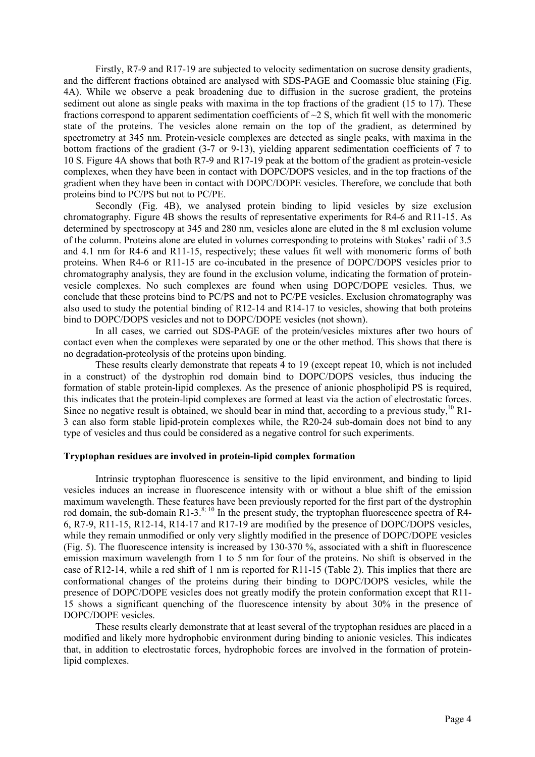Firstly, R7-9 and R17-19 are subjected to velocity sedimentation on sucrose density gradients, and the different fractions obtained are analysed with SDS-PAGE and Coomassie blue staining (Fig. 4A). While we observe a peak broadening due to diffusion in the sucrose gradient, the proteins sediment out alone as single peaks with maxima in the top fractions of the gradient (15 to 17). These fractions correspond to apparent sedimentation coefficients of  $\sim$  2 S, which fit well with the monomeric state of the proteins. The vesicles alone remain on the top of the gradient, as determined by spectrometry at 345 nm. Protein-vesicle complexes are detected as single peaks, with maxima in the bottom fractions of the gradient (3-7 or 9-13), yielding apparent sedimentation coefficients of 7 to 10 S. Figure 4A shows that both R7-9 and R17-19 peak at the bottom of the gradient as protein-vesicle complexes, when they have been in contact with DOPC/DOPS vesicles, and in the top fractions of the gradient when they have been in contact with DOPC/DOPE vesicles. Therefore, we conclude that both proteins bind to PC/PS but not to PC/PE.

Secondly (Fig. 4B), we analysed protein binding to lipid vesicles by size exclusion chromatography. Figure 4B shows the results of representative experiments for R4-6 and R11-15. As determined by spectroscopy at 345 and 280 nm, vesicles alone are eluted in the 8 ml exclusion volume of the column. Proteins alone are eluted in volumes corresponding to proteins with Stokes' radii of 3.5 and 4.1 nm for R4-6 and R11-15, respectively; these values fit well with monomeric forms of both proteins. When R4-6 or R11-15 are co-incubated in the presence of DOPC/DOPS vesicles prior to chromatography analysis, they are found in the exclusion volume, indicating the formation of proteinvesicle complexes. No such complexes are found when using DOPC/DOPE vesicles. Thus, we conclude that these proteins bind to PC/PS and not to PC/PE vesicles. Exclusion chromatography was also used to study the potential binding of R12-14 and R14-17 to vesicles, showing that both proteins bind to DOPC/DOPS vesicles and not to DOPC/DOPE vesicles (not shown).

In all cases, we carried out SDS-PAGE of the protein/vesicles mixtures after two hours of contact even when the complexes were separated by one or the other method. This shows that there is no degradation-proteolysis of the proteins upon binding.

These results clearly demonstrate that repeats 4 to 19 (except repeat 10, which is not included in a construct) of the dystrophin rod domain bind to DOPC/DOPS vesicles, thus inducing the formation of stable protein-lipid complexes. As the presence of anionic phospholipid PS is required, this indicates that the protein-lipid complexes are formed at least via the action of electrostatic forces. Since no negative result is obtained, we should bear in mind that, according to a previous study,<sup>10</sup> R<sub>1</sub>. 3 can also form stable lipid-protein complexes while, the R20-24 sub-domain does not bind to any type of vesicles and thus could be considered as a negative control for such experiments.

### Tryptophan residues are involved in protein-lipid complex formation

Intrinsic tryptophan fluorescence is sensitive to the lipid environment, and binding to lipid vesicles induces an increase in fluorescence intensity with or without a blue shift of the emission maximum wavelength. These features have been previously reported for the first part of the dystrophin rod domain, the sub-domain R1-3. $8$ ; 10 In the present study, the tryptophan fluorescence spectra of R4-6, R7-9, R11-15, R12-14, R14-17 and R17-19 are modified by the presence of DOPC/DOPS vesicles, while they remain unmodified or only very slightly modified in the presence of DOPC/DOPE vesicles (Fig. 5). The fluorescence intensity is increased by 130-370 %, associated with a shift in fluorescence emission maximum wavelength from 1 to 5 nm for four of the proteins. No shift is observed in the case of R12-14, while a red shift of 1 nm is reported for R11-15 (Table 2). This implies that there are conformational changes of the proteins during their binding to DOPC/DOPS vesicles, while the presence of DOPC/DOPE vesicles does not greatly modify the protein conformation except that R11- 15 shows a significant quenching of the fluorescence intensity by about 30% in the presence of DOPC/DOPE vesicles.

These results clearly demonstrate that at least several of the tryptophan residues are placed in a modified and likely more hydrophobic environment during binding to anionic vesicles. This indicates that, in addition to electrostatic forces, hydrophobic forces are involved in the formation of proteinlipid complexes.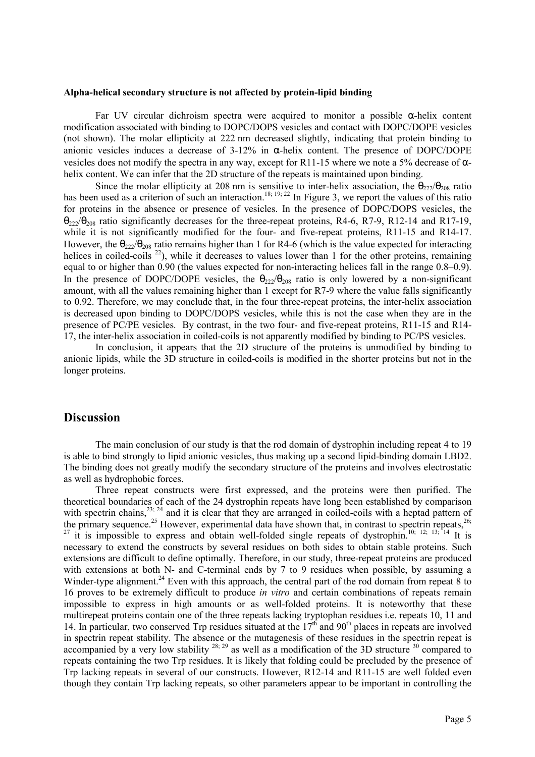#### Alpha-helical secondary structure is not affected by protein-lipid binding

Far UV circular dichroism spectra were acquired to monitor a possible  $\alpha$ -helix content modification associated with binding to DOPC/DOPS vesicles and contact with DOPC/DOPE vesicles (not shown). The molar ellipticity at 222 nm decreased slightly, indicating that protein binding to anionic vesicles induces a decrease of  $3-12\%$  in  $\alpha$ -helix content. The presence of DOPC/DOPE vesicles does not modify the spectra in any way, except for R11-15 where we note a 5% decrease of αhelix content. We can infer that the 2D structure of the repeats is maintained upon binding.

Since the molar ellipticity at 208 nm is sensitive to inter-helix association, the  $\theta_{222}/\theta_{208}$  ratio has been used as a criterion of such an interaction.<sup>18; 19; 22</sup> In Figure 3, we report the values of this ratio for proteins in the absence or presence of vesicles. In the presence of DOPC/DOPS vesicles, the  $θ$ <sub>222</sub>/ $θ$ <sub>208</sub> ratio significantly decreases for the three-repeat proteins, R4-6, R7-9, R12-14 and R17-19, while it is not significantly modified for the four- and five-repeat proteins, R11-15 and R14-17. However, the  $\theta_{222}/\theta_{208}$  ratio remains higher than 1 for R4-6 (which is the value expected for interacting helices in coiled-coils  $^{22}$ ), while it decreases to values lower than 1 for the other proteins, remaining equal to or higher than 0.90 (the values expected for non-interacting helices fall in the range 0.8–0.9). In the presence of DOPC/DOPE vesicles, the  $\theta_{222}/\theta_{208}$  ratio is only lowered by a non-significant amount, with all the values remaining higher than 1 except for R7-9 where the value falls significantly to 0.92. Therefore, we may conclude that, in the four three-repeat proteins, the inter-helix association is decreased upon binding to DOPC/DOPS vesicles, while this is not the case when they are in the presence of PC/PE vesicles. By contrast, in the two four- and five-repeat proteins, R11-15 and R14- 17, the inter-helix association in coiled-coils is not apparently modified by binding to PC/PS vesicles.

In conclusion, it appears that the 2D structure of the proteins is unmodified by binding to anionic lipids, while the 3D structure in coiled-coils is modified in the shorter proteins but not in the longer proteins.

### **Discussion**

The main conclusion of our study is that the rod domain of dystrophin including repeat 4 to 19 is able to bind strongly to lipid anionic vesicles, thus making up a second lipid-binding domain LBD2. The binding does not greatly modify the secondary structure of the proteins and involves electrostatic as well as hydrophobic forces.

Three repeat constructs were first expressed, and the proteins were then purified. The theoretical boundaries of each of the 24 dystrophin repeats have long been established by comparison with spectrin chains,  $23: 24$  and it is clear that they are arranged in coiled-coils with a heptad pattern of the primary sequence.<sup>25</sup> However, experimental data have shown that, in contrast to spectrin repeats,<sup>26;</sup> <sup>27</sup> it is impossible to express and obtain well-folded single repeats of dystrophin.<sup>10; 12; 13; 14</sup> It is necessary to extend the constructs by several residues on both sides to obtain stable proteins. Such extensions are difficult to define optimally. Therefore, in our study, three-repeat proteins are produced with extensions at both N- and C-terminal ends by 7 to 9 residues when possible, by assuming a Winder-type alignment.<sup>24</sup> Even with this approach, the central part of the rod domain from repeat 8 to 16 proves to be extremely difficult to produce in vitro and certain combinations of repeats remain impossible to express in high amounts or as well-folded proteins. It is noteworthy that these multirepeat proteins contain one of the three repeats lacking tryptophan residues i.e. repeats 10, 11 and 14. In particular, two conserved Trp residues situated at the  $17<sup>th</sup>$  and  $90<sup>th</sup>$  places in repeats are involved in spectrin repeat stability. The absence or the mutagenesis of these residues in the spectrin repeat is accompanied by a very low stability  $^{28; 29}$  as well as a modification of the 3D structure  $^{30}$  compared to repeats containing the two Trp residues. It is likely that folding could be precluded by the presence of Trp lacking repeats in several of our constructs. However, R12-14 and R11-15 are well folded even though they contain Trp lacking repeats, so other parameters appear to be important in controlling the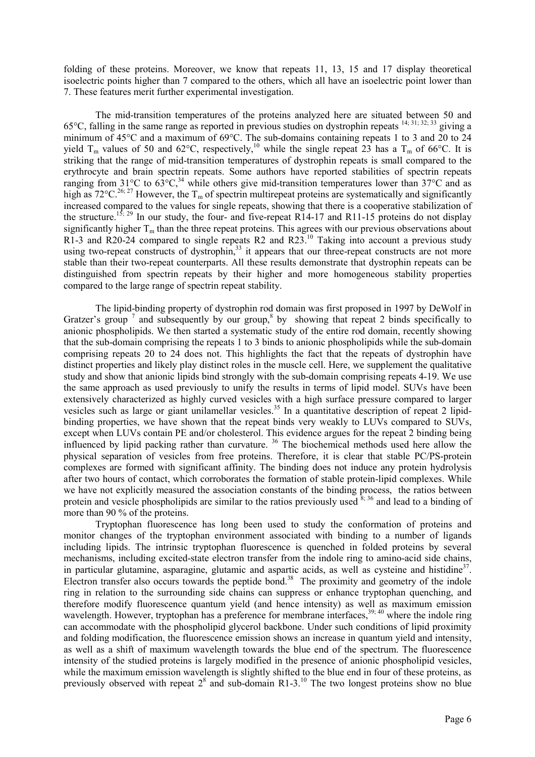folding of these proteins. Moreover, we know that repeats 11, 13, 15 and 17 display theoretical isoelectric points higher than 7 compared to the others, which all have an isoelectric point lower than 7. These features merit further experimental investigation.

The mid-transition temperatures of the proteins analyzed here are situated between 50 and 65°C, falling in the same range as reported in previous studies on dystrophin repeats 14; 31; 32; 33 giving a minimum of 45°C and a maximum of 69°C. The sub-domains containing repeats 1 to 3 and 20 to 24 yield  $T_m$  values of 50 and 62°C, respectively,<sup>10</sup> while the single repeat 23 has a  $T_m$  of 66°C. It is striking that the range of mid-transition temperatures of dystrophin repeats is small compared to the erythrocyte and brain spectrin repeats. Some authors have reported stabilities of spectrin repeats ranging from 31°C to  $63^{\circ}$ C,<sup>34</sup> while others give mid-transition temperatures lower than 37°C and as high as  $72^{\circ}$ C.<sup>26; 27</sup> However, the T<sub>m</sub> of spectrin multirepeat proteins are systematically and significantly increased compared to the values for single repeats, showing that there is a cooperative stabilization of the structure.<sup>15; 29</sup> In our study, the four- and five-repeat R14-17 and R11-15 proteins do not display significantly higher  $T_m$  than the three repeat proteins. This agrees with our previous observations about R1-3 and R20-24 compared to single repeats R2 and R23.<sup>10</sup> Taking into account a previous study using two-repeat constructs of dystrophin,<sup>33</sup> it appears that our three-repeat constructs are not more stable than their two-repeat counterparts. All these results demonstrate that dystrophin repeats can be distinguished from spectrin repeats by their higher and more homogeneous stability properties compared to the large range of spectrin repeat stability.

The lipid-binding property of dystrophin rod domain was first proposed in 1997 by DeWolf in Gratzer's group  $\frac{7}{1}$  and subsequently by our group, by showing that repeat 2 binds specifically to anionic phospholipids. We then started a systematic study of the entire rod domain, recently showing that the sub-domain comprising the repeats 1 to 3 binds to anionic phospholipids while the sub-domain comprising repeats 20 to 24 does not. This highlights the fact that the repeats of dystrophin have distinct properties and likely play distinct roles in the muscle cell. Here, we supplement the qualitative study and show that anionic lipids bind strongly with the sub-domain comprising repeats 4-19. We use the same approach as used previously to unify the results in terms of lipid model. SUVs have been extensively characterized as highly curved vesicles with a high surface pressure compared to larger vesicles such as large or giant unilamellar vesicles.<sup>35</sup> In a quantitative description of repeat 2 lipidbinding properties, we have shown that the repeat binds very weakly to LUVs compared to SUVs, except when LUVs contain PE and/or cholesterol. This evidence argues for the repeat 2 binding being influenced by lipid packing rather than curvature. <sup>36</sup> The biochemical methods used here allow the physical separation of vesicles from free proteins. Therefore, it is clear that stable PC/PS-protein complexes are formed with significant affinity. The binding does not induce any protein hydrolysis after two hours of contact, which corroborates the formation of stable protein-lipid complexes. While we have not explicitly measured the association constants of the binding process, the ratios between protein and vesicle phospholipids are similar to the ratios previously used  $8,36$  and lead to a binding of more than 90 % of the proteins.

Tryptophan fluorescence has long been used to study the conformation of proteins and monitor changes of the tryptophan environment associated with binding to a number of ligands including lipids. The intrinsic tryptophan fluorescence is quenched in folded proteins by several mechanisms, including excited-state electron transfer from the indole ring to amino-acid side chains, in particular glutamine, asparagine, glutamic and aspartic acids, as well as cysteine and histidine<sup>37</sup>. Electron transfer also occurs towards the peptide bond.<sup>38</sup> The proximity and geometry of the indole ring in relation to the surrounding side chains can suppress or enhance tryptophan quenching, and therefore modify fluorescence quantum yield (and hence intensity) as well as maximum emission wavelength. However, tryptophan has a preference for membrane interfaces,<sup>39; 40</sup> where the indole ring can accommodate with the phospholipid glycerol backbone. Under such conditions of lipid proximity and folding modification, the fluorescence emission shows an increase in quantum yield and intensity, as well as a shift of maximum wavelength towards the blue end of the spectrum. The fluorescence intensity of the studied proteins is largely modified in the presence of anionic phospholipid vesicles, while the maximum emission wavelength is slightly shifted to the blue end in four of these proteins, as previously observed with repeat  $2^8$  and sub-domain R1-3.<sup>10</sup> The two longest proteins show no blue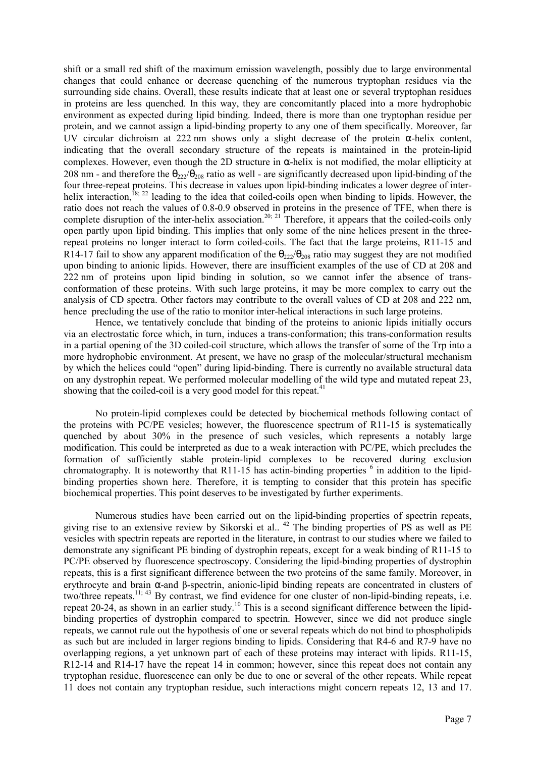shift or a small red shift of the maximum emission wavelength, possibly due to large environmental changes that could enhance or decrease quenching of the numerous tryptophan residues via the surrounding side chains. Overall, these results indicate that at least one or several tryptophan residues in proteins are less quenched. In this way, they are concomitantly placed into a more hydrophobic environment as expected during lipid binding. Indeed, there is more than one tryptophan residue per protein, and we cannot assign a lipid-binding property to any one of them specifically. Moreover, far UV circular dichroism at 222 nm shows only a slight decrease of the protein  $\alpha$ -helix content, indicating that the overall secondary structure of the repeats is maintained in the protein-lipid complexes. However, even though the 2D structure in  $\alpha$ -helix is not modified, the molar ellipticity at 208 nm - and therefore the  $\theta_{222}/\theta_{208}$  ratio as well - are significantly decreased upon lipid-binding of the four three-repeat proteins. This decrease in values upon lipid-binding indicates a lower degree of interhelix interaction,<sup>18; 22</sup> leading to the idea that coiled-coils open when binding to lipids. However, the ratio does not reach the values of 0.8-0.9 observed in proteins in the presence of TFE, when there is complete disruption of the inter-helix association.<sup>20; 21</sup> Therefore, it appears that the coiled-coils only open partly upon lipid binding. This implies that only some of the nine helices present in the threerepeat proteins no longer interact to form coiled-coils. The fact that the large proteins, R11-15 and R14-17 fail to show any apparent modification of the  $\theta_{222}/\theta_{208}$  ratio may suggest they are not modified upon binding to anionic lipids. However, there are insufficient examples of the use of CD at 208 and 222 nm of proteins upon lipid binding in solution, so we cannot infer the absence of transconformation of these proteins. With such large proteins, it may be more complex to carry out the analysis of CD spectra. Other factors may contribute to the overall values of CD at 208 and 222 nm, hence precluding the use of the ratio to monitor inter-helical interactions in such large proteins.

Hence, we tentatively conclude that binding of the proteins to anionic lipids initially occurs via an electrostatic force which, in turn, induces a trans-conformation; this trans-conformation results in a partial opening of the 3D coiled-coil structure, which allows the transfer of some of the Trp into a more hydrophobic environment. At present, we have no grasp of the molecular/structural mechanism by which the helices could "open" during lipid-binding. There is currently no available structural data on any dystrophin repeat. We performed molecular modelling of the wild type and mutated repeat 23, showing that the coiled-coil is a very good model for this repeat.<sup>41</sup>

No protein-lipid complexes could be detected by biochemical methods following contact of the proteins with PC/PE vesicles; however, the fluorescence spectrum of R11-15 is systematically quenched by about 30% in the presence of such vesicles, which represents a notably large modification. This could be interpreted as due to a weak interaction with PC/PE, which precludes the formation of sufficiently stable protein-lipid complexes to be recovered during exclusion chromatography. It is noteworthy that R11-15 has actin-binding properties  $6$  in addition to the lipidbinding properties shown here. Therefore, it is tempting to consider that this protein has specific biochemical properties. This point deserves to be investigated by further experiments.

Numerous studies have been carried out on the lipid-binding properties of spectrin repeats, giving rise to an extensive review by Sikorski et al.. <sup>42</sup> The binding properties of PS as well as PE vesicles with spectrin repeats are reported in the literature, in contrast to our studies where we failed to demonstrate any significant PE binding of dystrophin repeats, except for a weak binding of R11-15 to PC/PE observed by fluorescence spectroscopy. Considering the lipid-binding properties of dystrophin repeats, this is a first significant difference between the two proteins of the same family. Moreover, in erythrocyte and brain α-and β-spectrin, anionic-lipid binding repeats are concentrated in clusters of two/three repeats.11; 43 By contrast, we find evidence for one cluster of non-lipid-binding repeats, i.e. repeat 20-24, as shown in an earlier study.<sup>10</sup> This is a second significant difference between the lipidbinding properties of dystrophin compared to spectrin. However, since we did not produce single repeats, we cannot rule out the hypothesis of one or several repeats which do not bind to phospholipids as such but are included in larger regions binding to lipids. Considering that R4-6 and R7-9 have no overlapping regions, a yet unknown part of each of these proteins may interact with lipids. R11-15, R12-14 and R14-17 have the repeat 14 in common; however, since this repeat does not contain any tryptophan residue, fluorescence can only be due to one or several of the other repeats. While repeat 11 does not contain any tryptophan residue, such interactions might concern repeats 12, 13 and 17.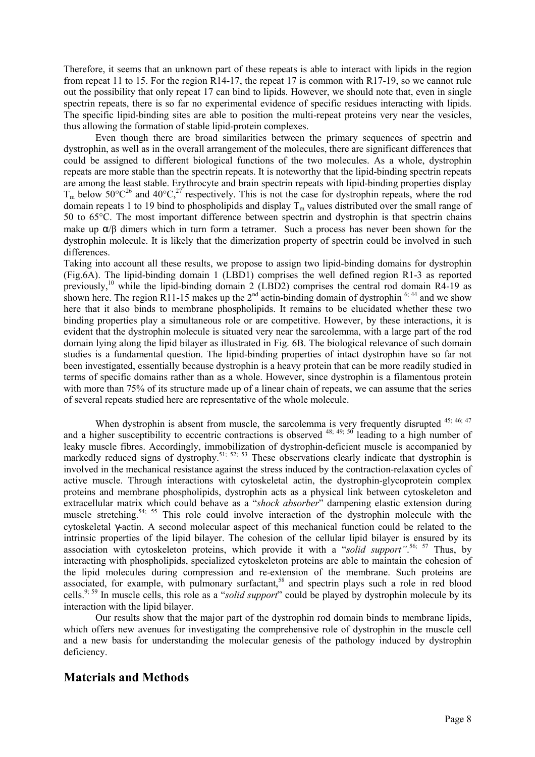Therefore, it seems that an unknown part of these repeats is able to interact with lipids in the region from repeat 11 to 15. For the region R14-17, the repeat 17 is common with R17-19, so we cannot rule out the possibility that only repeat 17 can bind to lipids. However, we should note that, even in single spectrin repeats, there is so far no experimental evidence of specific residues interacting with lipids. The specific lipid-binding sites are able to position the multi-repeat proteins very near the vesicles, thus allowing the formation of stable lipid-protein complexes.

Even though there are broad similarities between the primary sequences of spectrin and dystrophin, as well as in the overall arrangement of the molecules, there are significant differences that could be assigned to different biological functions of the two molecules. As a whole, dystrophin repeats are more stable than the spectrin repeats. It is noteworthy that the lipid-binding spectrin repeats are among the least stable. Erythrocyte and brain spectrin repeats with lipid-binding properties display  $T_m$  below  $50^{\circ}C^{26}$  and  $40^{\circ}C$ ,<sup>27</sup> respectively. This is not the case for dystrophin repeats, where the rod domain repeats 1 to 19 bind to phospholipids and display  $T_m$  values distributed over the small range of 50 to 65°C. The most important difference between spectrin and dystrophin is that spectrin chains make up  $\alpha/\beta$  dimers which in turn form a tetramer. Such a process has never been shown for the dystrophin molecule. It is likely that the dimerization property of spectrin could be involved in such differences.

Taking into account all these results, we propose to assign two lipid-binding domains for dystrophin (Fig.6A). The lipid-binding domain 1 (LBD1) comprises the well defined region R1-3 as reported previously,<sup>10</sup> while the lipid-binding domain 2 (LBD2) comprises the central rod domain R4-19 as shown here. The region R11-15 makes up the  $2<sup>nd</sup>$  actin-binding domain of dystrophin  $6$ ;  $^{44}$  and we show here that it also binds to membrane phospholipids. It remains to be elucidated whether these two binding properties play a simultaneous role or are competitive. However, by these interactions, it is evident that the dystrophin molecule is situated very near the sarcolemma, with a large part of the rod domain lying along the lipid bilayer as illustrated in Fig. 6B. The biological relevance of such domain studies is a fundamental question. The lipid-binding properties of intact dystrophin have so far not been investigated, essentially because dystrophin is a heavy protein that can be more readily studied in terms of specific domains rather than as a whole. However, since dystrophin is a filamentous protein with more than 75% of its structure made up of a linear chain of repeats, we can assume that the series of several repeats studied here are representative of the whole molecule.

When dystrophin is absent from muscle, the sarcolemma is very frequently disrupted <sup>45; 46; 47</sup> and a higher susceptibility to eccentric contractions is observed <sup>48; 49; 50</sup> leading to a high number of leaky muscle fibres. Accordingly, immobilization of dystrophin-deficient muscle is accompanied by markedly reduced signs of dystrophy.<sup>51; 52; 53</sup> These observations clearly indicate that dystrophin is involved in the mechanical resistance against the stress induced by the contraction-relaxation cycles of active muscle. Through interactions with cytoskeletal actin, the dystrophin-glycoprotein complex proteins and membrane phospholipids, dystrophin acts as a physical link between cytoskeleton and extracellular matrix which could behave as a "shock absorber" dampening elastic extension during muscle stretching.<sup>54; 55</sup> This role could involve interaction of the dystrophin molecule with the cytoskeletal γ-actin. A second molecular aspect of this mechanical function could be related to the intrinsic properties of the lipid bilayer. The cohesion of the cellular lipid bilayer is ensured by its association with cytoskeleton proteins, which provide it with a "solid support".<sup>56; 57</sup> Thus, by interacting with phospholipids, specialized cytoskeleton proteins are able to maintain the cohesion of the lipid molecules during compression and re-extension of the membrane. Such proteins are associated, for example, with pulmonary surfactant,<sup>58</sup> and spectrin plays such a role in red blood cells.<sup>9; 59</sup> In muscle cells, this role as a "solid support" could be played by dystrophin molecule by its interaction with the lipid bilayer.

Our results show that the major part of the dystrophin rod domain binds to membrane lipids, which offers new avenues for investigating the comprehensive role of dystrophin in the muscle cell and a new basis for understanding the molecular genesis of the pathology induced by dystrophin deficiency.

## Materials and Methods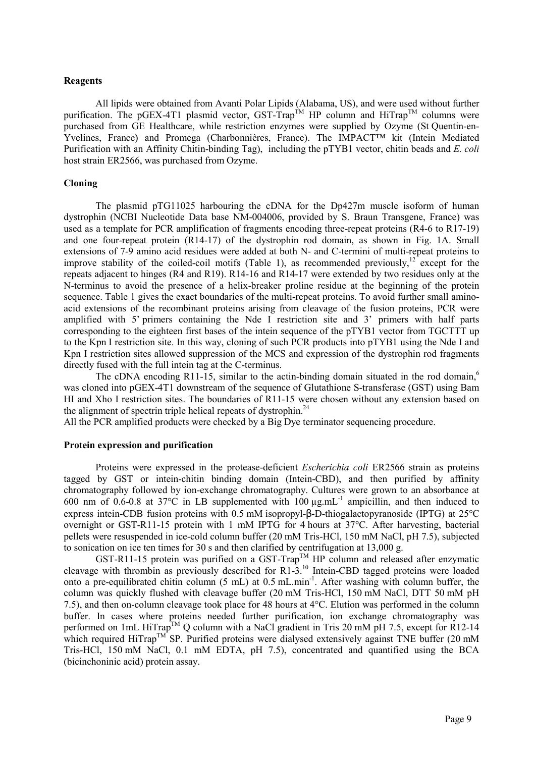#### Reagents

All lipids were obtained from Avanti Polar Lipids (Alabama, US), and were used without further purification. The pGEX-4T1 plasmid vector, GST-Trap<sup>TM</sup> HP column and HiTrap<sup>TM</sup> columns were purchased from GE Healthcare, while restriction enzymes were supplied by Ozyme (St Quentin-en-Yvelines, France) and Promega (Charbonnières, France). The IMPACT™ kit (Intein Mediated Purification with an Affinity Chitin-binding Tag), including the pTYB1 vector, chitin beads and E. coli host strain ER2566, was purchased from Ozyme.

### Cloning

The plasmid pTG11025 harbouring the cDNA for the Dp427m muscle isoform of human dystrophin (NCBI Nucleotide Data base NM-004006, provided by S. Braun Transgene, France) was used as a template for PCR amplification of fragments encoding three-repeat proteins (R4-6 to R17-19) and one four-repeat protein (R14-17) of the dystrophin rod domain, as shown in Fig. 1A. Small extensions of 7-9 amino acid residues were added at both N- and C-termini of multi-repeat proteins to improve stability of the coiled-coil motifs (Table 1), as recommended previously,<sup>12</sup> except for the repeats adjacent to hinges (R4 and R19). R14-16 and R14-17 were extended by two residues only at the N-terminus to avoid the presence of a helix-breaker proline residue at the beginning of the protein sequence. Table 1 gives the exact boundaries of the multi-repeat proteins. To avoid further small aminoacid extensions of the recombinant proteins arising from cleavage of the fusion proteins, PCR were amplified with 5' primers containing the Nde I restriction site and 3' primers with half parts corresponding to the eighteen first bases of the intein sequence of the pTYB1 vector from TGCTTT up to the Kpn I restriction site. In this way, cloning of such PCR products into pTYB1 using the Nde I and Kpn I restriction sites allowed suppression of the MCS and expression of the dystrophin rod fragments directly fused with the full intein tag at the C-terminus.

The cDNA encoding R11-15, similar to the actin-binding domain situated in the rod domain, $<sup>6</sup>$ </sup> was cloned into pGEX-4T1 downstream of the sequence of Glutathione S-transferase (GST) using Bam HI and Xho I restriction sites. The boundaries of R11-15 were chosen without any extension based on the alignment of spectrin triple helical repeats of dystrophin.<sup>24</sup>

All the PCR amplified products were checked by a Big Dye terminator sequencing procedure.

#### Protein expression and purification

Proteins were expressed in the protease-deficient Escherichia coli ER2566 strain as proteins tagged by GST or intein-chitin binding domain (Intein-CBD), and then purified by affinity chromatography followed by ion-exchange chromatography. Cultures were grown to an absorbance at 600 nm of  $0.6$ -0.8 at 37 $\degree$ C in LB supplemented with  $100 \mu g.mL^{-1}$  ampicillin, and then induced to express intein-CDB fusion proteins with 0.5 mM isopropyl-β-D-thiogalactopyranoside (IPTG) at 25°C overnight or GST-R11-15 protein with 1 mM IPTG for 4 hours at 37°C. After harvesting, bacterial pellets were resuspended in ice-cold column buffer (20 mM Tris-HCl, 150 mM NaCl, pH 7.5), subjected to sonication on ice ten times for 30 s and then clarified by centrifugation at 13,000 g.

GST-R11-15 protein was purified on a GST-Trap<sup>TM</sup> HP column and released after enzymatic cleavage with thrombin as previously described for R1-3.<sup>10</sup> Intein-CBD tagged proteins were loaded onto a pre-equilibrated chitin column (5 mL) at 0.5 mL.min-1. After washing with column buffer, the column was quickly flushed with cleavage buffer (20 mM Tris-HCl, 150 mM NaCl, DTT 50 mM pH 7.5), and then on-column cleavage took place for 48 hours at 4°C. Elution was performed in the column buffer. In cases where proteins needed further purification, ion exchange chromatography was performed on 1mL HiTrap<sup>TM</sup> Q column with a NaCl gradient in Tris 20 mM pH 7.5, except for R12-14 which required HiTrap<sup>TM</sup> SP. Purified proteins were dialysed extensively against TNE buffer (20 mM) Tris-HCl, 150 mM NaCl, 0.1 mM EDTA, pH 7.5), concentrated and quantified using the BCA (bicinchoninic acid) protein assay.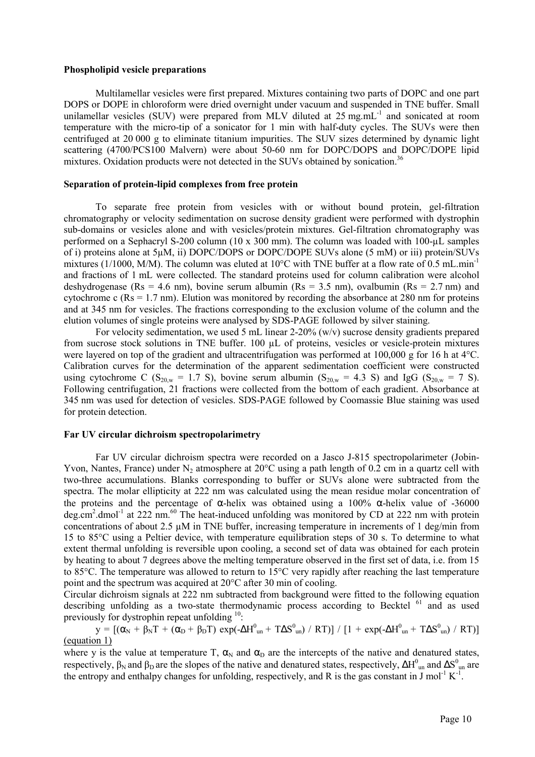### Phospholipid vesicle preparations

Multilamellar vesicles were first prepared. Mixtures containing two parts of DOPC and one part DOPS or DOPE in chloroform were dried overnight under vacuum and suspended in TNE buffer. Small unilamellar vesicles (SUV) were prepared from MLV diluted at 25 mg.mL<sup>-1</sup> and sonicated at room temperature with the micro-tip of a sonicator for 1 min with half-duty cycles. The SUVs were then centrifuged at 20 000 g to eliminate titanium impurities. The SUV sizes determined by dynamic light scattering (4700/PCS100 Malvern) were about 50-60 nm for DOPC/DOPS and DOPC/DOPE lipid mixtures. Oxidation products were not detected in the SUVs obtained by sonication.<sup>36</sup>

### Separation of protein-lipid complexes from free protein

To separate free protein from vesicles with or without bound protein, gel-filtration chromatography or velocity sedimentation on sucrose density gradient were performed with dystrophin sub-domains or vesicles alone and with vesicles/protein mixtures. Gel-filtration chromatography was performed on a Sephacryl S-200 column (10 x 300 mm). The column was loaded with 100-µL samples of i) proteins alone at 5µM, ii) DOPC/DOPS or DOPC/DOPE SUVs alone (5 mM) or iii) protein/SUVs mixtures (1/1000, M/M). The column was eluted at 10°C with TNE buffer at a flow rate of 0.5 mL.min<sup>-1</sup> and fractions of 1 mL were collected. The standard proteins used for column calibration were alcohol deshydrogenase (Rs = 4.6 nm), bovine serum albumin (Rs = 3.5 nm), ovalbumin (Rs = 2.7 nm) and cytochrome c ( $Rs = 1.7$  nm). Elution was monitored by recording the absorbance at 280 nm for proteins and at 345 nm for vesicles. The fractions corresponding to the exclusion volume of the column and the elution volumes of single proteins were analysed by SDS-PAGE followed by silver staining.

For velocity sedimentation, we used 5 mL linear 2-20% (w/v) sucrose density gradients prepared from sucrose stock solutions in TNE buffer. 100 µL of proteins, vesicles or vesicle-protein mixtures were layered on top of the gradient and ultracentrifugation was performed at 100,000 g for 16 h at 4°C. Calibration curves for the determination of the apparent sedimentation coefficient were constructed using cytochrome C ( $S_{20,w} = 1.7$  S), bovine serum albumin ( $S_{20,w} = 4.3$  S) and IgG ( $S_{20,w} = 7$  S). Following centrifugation, 21 fractions were collected from the bottom of each gradient. Absorbance at 345 nm was used for detection of vesicles. SDS-PAGE followed by Coomassie Blue staining was used for protein detection.

### Far UV circular dichroism spectropolarimetry

Far UV circular dichroism spectra were recorded on a Jasco J-815 spectropolarimeter (Jobin-Yvon, Nantes, France) under N<sub>2</sub> atmosphere at  $20^{\circ}$ C using a path length of 0.2 cm in a quartz cell with two-three accumulations. Blanks corresponding to buffer or SUVs alone were subtracted from the spectra. The molar ellipticity at 222 nm was calculated using the mean residue molar concentration of the proteins and the percentage of  $\alpha$ -helix was obtained using a 100%  $\alpha$ -helix value of -36000 deg.cm<sup>2</sup>.dmol<sup>-1</sup> at 222 nm.<sup>60</sup> The heat-induced unfolding was monitored by CD at 222 nm with protein concentrations of about 2.5 µM in TNE buffer, increasing temperature in increments of 1 deg/min from 15 to 85°C using a Peltier device, with temperature equilibration steps of 30 s. To determine to what extent thermal unfolding is reversible upon cooling, a second set of data was obtained for each protein by heating to about 7 degrees above the melting temperature observed in the first set of data, i.e. from 15 to 85°C. The temperature was allowed to return to 15°C very rapidly after reaching the last temperature point and the spectrum was acquired at 20°C after 30 min of cooling.

Circular dichroism signals at 222 nm subtracted from background were fitted to the following equation describing unfolding as a two-state thermodynamic process according to Becktel  $61$  and as used previously for dystrophin repeat unfolding <sup>10</sup>:

 $y = \left[ (\alpha_N + \beta_N T + (\alpha_D + \beta_D T) \exp(-\Delta H^0_{un} + T \Delta S^0_{un}) / RT) \right] / \left[ 1 + \exp(-\Delta H^0_{un} + T \Delta S^0_{un}) / RT) \right]$ (equation 1)

where y is the value at temperature T,  $\alpha_N$  and  $\alpha_D$  are the intercepts of the native and denatured states, respectively,  $\beta_N$  and  $\beta_D$  are the slopes of the native and denatured states, respectively,  $\Delta H^0_{\text{ un}}$  and  $\Delta S^0_{\text{ un}}$  are the entropy and enthalpy changes for unfolding, respectively, and R is the gas constant in  $J$  mol<sup>-1</sup> K<sup>-1</sup> .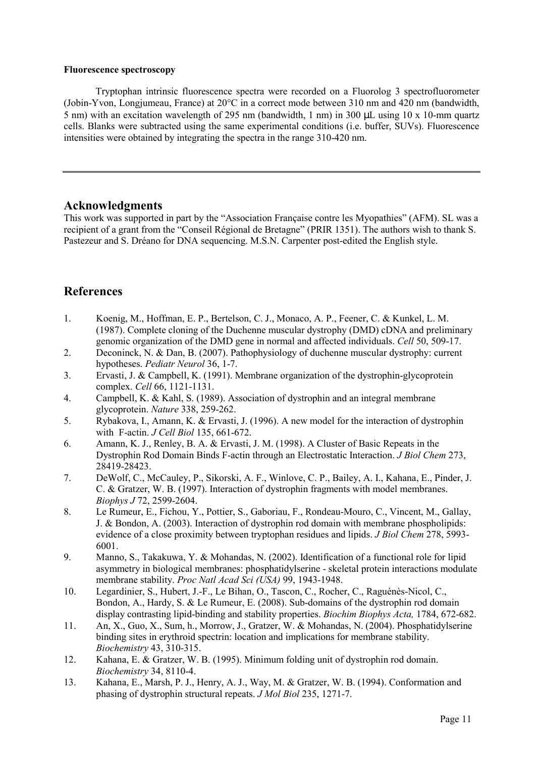### Fluorescence spectroscopy

Tryptophan intrinsic fluorescence spectra were recorded on a Fluorolog 3 spectrofluorometer (Jobin-Yvon, Longjumeau, France) at 20°C in a correct mode between 310 nm and 420 nm (bandwidth, 5 nm) with an excitation wavelength of 295 nm (bandwidth, 1 nm) in 300 µL using 10 x 10-mm quartz cells. Blanks were subtracted using the same experimental conditions (i.e. buffer, SUVs). Fluorescence intensities were obtained by integrating the spectra in the range 310-420 nm.

### Acknowledgments

This work was supported in part by the "Association Française contre les Myopathies" (AFM). SL was a recipient of a grant from the "Conseil Régional de Bretagne" (PRIR 1351). The authors wish to thank S. Pastezeur and S. Dréano for DNA sequencing. M.S.N. Carpenter post-edited the English style.

# **References**

- 1. Koenig, M., Hoffman, E. P., Bertelson, C. J., Monaco, A. P., Feener, C. & Kunkel, L. M. (1987). Complete cloning of the Duchenne muscular dystrophy (DMD) cDNA and preliminary genomic organization of the DMD gene in normal and affected individuals. Cell 50, 509-17.
- 2. Deconinck, N. & Dan, B. (2007). Pathophysiology of duchenne muscular dystrophy: current hypotheses. Pediatr Neurol 36, 1-7.
- 3. Ervasti, J. & Campbell, K. (1991). Membrane organization of the dystrophin-glycoprotein complex. Cell 66, 1121-1131.
- 4. Campbell, K. & Kahl, S. (1989). Association of dystrophin and an integral membrane glycoprotein. Nature 338, 259-262.
- 5. Rybakova, I., Amann, K. & Ervasti, J. (1996). A new model for the interaction of dystrophin with F-actin. *J Cell Biol* 135, 661-672.
- 6. Amann, K. J., Renley, B. A. & Ervasti, J. M. (1998). A Cluster of Basic Repeats in the Dystrophin Rod Domain Binds F-actin through an Electrostatic Interaction. *J Biol Chem* 273, 28419-28423.
- 7. DeWolf, C., McCauley, P., Sikorski, A. F., Winlove, C. P., Bailey, A. I., Kahana, E., Pinder, J. C. & Gratzer, W. B. (1997). Interaction of dystrophin fragments with model membranes. Biophys J 72, 2599-2604.
- 8. Le Rumeur, E., Fichou, Y., Pottier, S., Gaboriau, F., Rondeau-Mouro, C., Vincent, M., Gallay, J. & Bondon, A. (2003). Interaction of dystrophin rod domain with membrane phospholipids: evidence of a close proximity between tryptophan residues and lipids. *J Biol Chem* 278, 5993-6001.
- 9. Manno, S., Takakuwa, Y. & Mohandas, N. (2002). Identification of a functional role for lipid asymmetry in biological membranes: phosphatidylserine - skeletal protein interactions modulate membrane stability. *Proc Natl Acad Sci (USA)* 99, 1943-1948.
- 10. Legardinier, S., Hubert, J.-F., Le Bihan, O., Tascon, C., Rocher, C., Raguénès-Nicol, C., Bondon, A., Hardy, S. & Le Rumeur, E. (2008). Sub-domains of the dystrophin rod domain display contrasting lipid-binding and stability properties. Biochim Biophys Acta, 1784, 672-682.
- 11. An, X., Guo, X., Sum, h., Morrow, J., Gratzer, W. & Mohandas, N. (2004). Phosphatidylserine binding sites in erythroid spectrin: location and implications for membrane stability. Biochemistry 43, 310-315.
- 12. Kahana, E. & Gratzer, W. B. (1995). Minimum folding unit of dystrophin rod domain. Biochemistry 34, 8110-4.
- 13. Kahana, E., Marsh, P. J., Henry, A. J., Way, M. & Gratzer, W. B. (1994). Conformation and phasing of dystrophin structural repeats. J Mol Biol 235, 1271-7.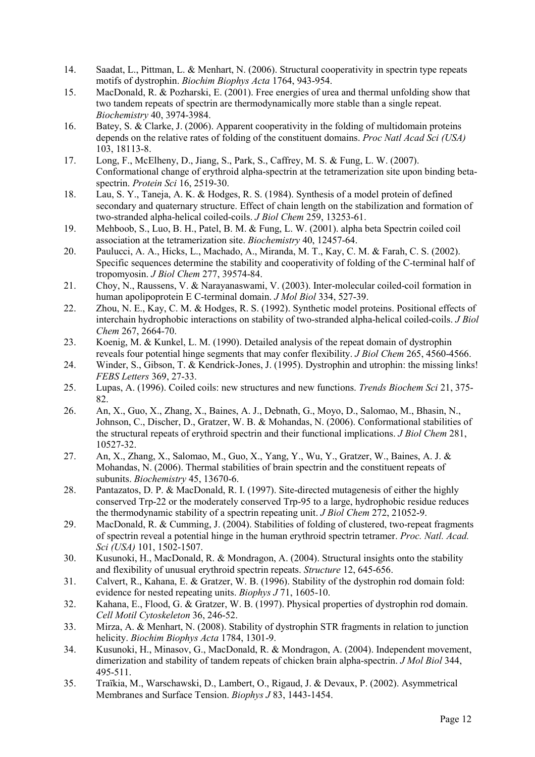- 14. Saadat, L., Pittman, L. & Menhart, N. (2006). Structural cooperativity in spectrin type repeats motifs of dystrophin. Biochim Biophys Acta 1764, 943-954.
- 15. MacDonald, R. & Pozharski, E. (2001). Free energies of urea and thermal unfolding show that two tandem repeats of spectrin are thermodynamically more stable than a single repeat. Biochemistry 40, 3974-3984.
- 16. Batey, S. & Clarke, J. (2006). Apparent cooperativity in the folding of multidomain proteins depends on the relative rates of folding of the constituent domains. *Proc Natl Acad Sci (USA)* 103, 18113-8.
- 17. Long, F., McElheny, D., Jiang, S., Park, S., Caffrey, M. S. & Fung, L. W. (2007). Conformational change of erythroid alpha-spectrin at the tetramerization site upon binding betaspectrin. *Protein Sci* 16, 2519-30.
- 18. Lau, S. Y., Taneja, A. K. & Hodges, R. S. (1984). Synthesis of a model protein of defined secondary and quaternary structure. Effect of chain length on the stabilization and formation of two-stranded alpha-helical coiled-coils. J Biol Chem 259, 13253-61.
- 19. Mehboob, S., Luo, B. H., Patel, B. M. & Fung, L. W. (2001). alpha beta Spectrin coiled coil association at the tetramerization site. Biochemistry 40, 12457-64.
- 20. Paulucci, A. A., Hicks, L., Machado, A., Miranda, M. T., Kay, C. M. & Farah, C. S. (2002). Specific sequences determine the stability and cooperativity of folding of the C-terminal half of tropomyosin. J Biol Chem 277, 39574-84.
- 21. Choy, N., Raussens, V. & Narayanaswami, V. (2003). Inter-molecular coiled-coil formation in human apolipoprotein E C-terminal domain. *J Mol Biol* 334, 527-39.
- 22. Zhou, N. E., Kay, C. M. & Hodges, R. S. (1992). Synthetic model proteins. Positional effects of interchain hydrophobic interactions on stability of two-stranded alpha-helical coiled-coils. J Biol Chem 267, 2664-70.
- 23. Koenig, M. & Kunkel, L. M. (1990). Detailed analysis of the repeat domain of dystrophin reveals four potential hinge segments that may confer flexibility. *J Biol Chem* 265, 4560-4566.
- 24. Winder, S., Gibson, T. & Kendrick-Jones, J. (1995). Dystrophin and utrophin: the missing links! FEBS Letters 369, 27-33.
- 25. Lupas, A. (1996). Coiled coils: new structures and new functions. Trends Biochem Sci 21, 375- 82.
- 26. An, X., Guo, X., Zhang, X., Baines, A. J., Debnath, G., Moyo, D., Salomao, M., Bhasin, N., Johnson, C., Discher, D., Gratzer, W. B. & Mohandas, N. (2006). Conformational stabilities of the structural repeats of erythroid spectrin and their functional implications. J Biol Chem 281, 10527-32.
- 27. An, X., Zhang, X., Salomao, M., Guo, X., Yang, Y., Wu, Y., Gratzer, W., Baines, A. J. & Mohandas, N. (2006). Thermal stabilities of brain spectrin and the constituent repeats of subunits. *Biochemistry* 45, 13670-6.
- 28. Pantazatos, D. P. & MacDonald, R. I. (1997). Site-directed mutagenesis of either the highly conserved Trp-22 or the moderately conserved Trp-95 to a large, hydrophobic residue reduces the thermodynamic stability of a spectrin repeating unit. J Biol Chem 272, 21052-9.
- 29. MacDonald, R. & Cumming, J. (2004). Stabilities of folding of clustered, two-repeat fragments of spectrin reveal a potential hinge in the human erythroid spectrin tetramer. Proc. Natl. Acad. Sci (USA) 101, 1502-1507.
- 30. Kusunoki, H., MacDonald, R. & Mondragon, A. (2004). Structural insights onto the stability and flexibility of unusual erythroid spectrin repeats. Structure 12, 645-656.
- 31. Calvert, R., Kahana, E. & Gratzer, W. B. (1996). Stability of the dystrophin rod domain fold: evidence for nested repeating units. *Biophys J* 71, 1605-10.
- 32. Kahana, E., Flood, G. & Gratzer, W. B. (1997). Physical properties of dystrophin rod domain. Cell Motil Cytoskeleton 36, 246-52.
- 33. Mirza, A. & Menhart, N. (2008). Stability of dystrophin STR fragments in relation to junction helicity. *Biochim Biophys Acta* 1784, 1301-9.
- 34. Kusunoki, H., Minasov, G., MacDonald, R. & Mondragon, A. (2004). Independent movement, dimerization and stability of tandem repeats of chicken brain alpha-spectrin. *J Mol Biol* 344, 495-511.
- 35. Traïkia, M., Warschawski, D., Lambert, O., Rigaud, J. & Devaux, P. (2002). Asymmetrical Membranes and Surface Tension. Biophys J 83, 1443-1454.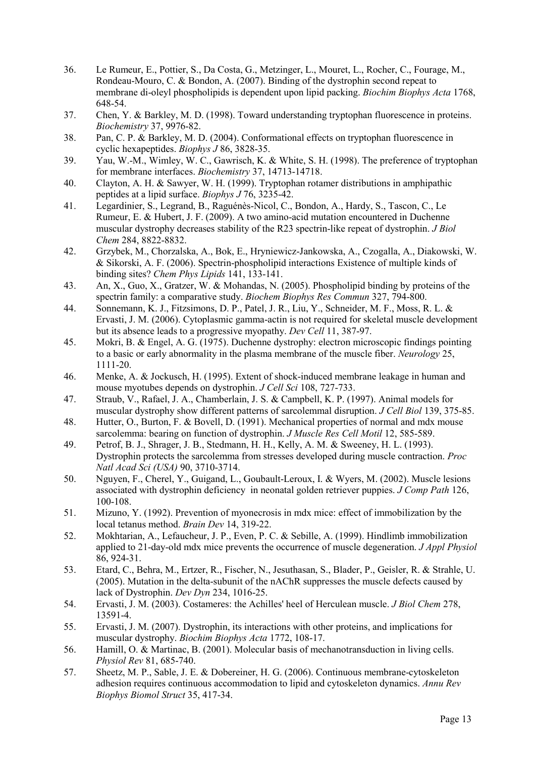- 36. Le Rumeur, E., Pottier, S., Da Costa, G., Metzinger, L., Mouret, L., Rocher, C., Fourage, M., Rondeau-Mouro, C. & Bondon, A. (2007). Binding of the dystrophin second repeat to membrane di-oleyl phospholipids is dependent upon lipid packing. Biochim Biophys Acta 1768, 648-54.
- 37. Chen, Y. & Barkley, M. D. (1998). Toward understanding tryptophan fluorescence in proteins. Biochemistry 37, 9976-82.
- 38. Pan, C. P. & Barkley, M. D. (2004). Conformational effects on tryptophan fluorescence in cyclic hexapeptides. Biophys J 86, 3828-35.
- 39. Yau, W.-M., Wimley, W. C., Gawrisch, K. & White, S. H. (1998). The preference of tryptophan for membrane interfaces. Biochemistry 37, 14713-14718.
- 40. Clayton, A. H. & Sawyer, W. H. (1999). Tryptophan rotamer distributions in amphipathic peptides at a lipid surface. Biophys J 76, 3235-42.
- 41. Legardinier, S., Legrand, B., Raguénès-Nicol, C., Bondon, A., Hardy, S., Tascon, C., Le Rumeur, E. & Hubert, J. F. (2009). A two amino-acid mutation encountered in Duchenne muscular dystrophy decreases stability of the R23 spectrin-like repeat of dystrophin. *J Biol* Chem 284, 8822-8832.
- 42. Grzybek, M., Chorzalska, A., Bok, E., Hryniewicz-Jankowska, A., Czogalla, A., Diakowski, W. & Sikorski, A. F. (2006). Spectrin-phospholipid interactions Existence of multiple kinds of binding sites? Chem Phys Lipids 141, 133-141.
- 43. An, X., Guo, X., Gratzer, W. & Mohandas, N. (2005). Phospholipid binding by proteins of the spectrin family: a comparative study. Biochem Biophys Res Commun 327, 794-800.
- 44. Sonnemann, K. J., Fitzsimons, D. P., Patel, J. R., Liu, Y., Schneider, M. F., Moss, R. L. & Ervasti, J. M. (2006). Cytoplasmic gamma-actin is not required for skeletal muscle development but its absence leads to a progressive myopathy. Dev Cell 11, 387-97.
- 45. Mokri, B. & Engel, A. G. (1975). Duchenne dystrophy: electron microscopic findings pointing to a basic or early abnormality in the plasma membrane of the muscle fiber. Neurology 25, 1111-20.
- 46. Menke, A. & Jockusch, H. (1995). Extent of shock-induced membrane leakage in human and mouse myotubes depends on dystrophin. J Cell Sci 108, 727-733.
- 47. Straub, V., Rafael, J. A., Chamberlain, J. S. & Campbell, K. P. (1997). Animal models for muscular dystrophy show different patterns of sarcolemmal disruption. *J Cell Biol* 139, 375-85.
- 48. Hutter, O., Burton, F. & Bovell, D. (1991). Mechanical properties of normal and mdx mouse sarcolemma: bearing on function of dystrophin. *J Muscle Res Cell Motil* 12, 585-589.
- 49. Petrof, B. J., Shrager, J. B., Stedmann, H. H., Kelly, A. M. & Sweeney, H. L. (1993). Dystrophin protects the sarcolemma from stresses developed during muscle contraction. Proc Natl Acad Sci (USA) 90, 3710-3714.
- 50. Nguyen, F., Cherel, Y., Guigand, L., Goubault-Leroux, I. & Wyers, M. (2002). Muscle lesions associated with dystrophin deficiency in neonatal golden retriever puppies. J Comp Path 126, 100-108.
- 51. Mizuno, Y. (1992). Prevention of myonecrosis in mdx mice: effect of immobilization by the local tetanus method. Brain Dev 14, 319-22.
- 52. Mokhtarian, A., Lefaucheur, J. P., Even, P. C. & Sebille, A. (1999). Hindlimb immobilization applied to 21-day-old mdx mice prevents the occurrence of muscle degeneration. *J Appl Physiol* 86, 924-31.
- 53. Etard, C., Behra, M., Ertzer, R., Fischer, N., Jesuthasan, S., Blader, P., Geisler, R. & Strahle, U. (2005). Mutation in the delta-subunit of the nAChR suppresses the muscle defects caused by lack of Dystrophin. Dev Dyn 234, 1016-25.
- 54. Ervasti, J. M. (2003). Costameres: the Achilles' heel of Herculean muscle. J Biol Chem 278, 13591-4.
- 55. Ervasti, J. M. (2007). Dystrophin, its interactions with other proteins, and implications for muscular dystrophy. Biochim Biophys Acta 1772, 108-17.
- 56. Hamill, O. & Martinac, B. (2001). Molecular basis of mechanotransduction in living cells. Physiol Rev 81, 685-740.
- 57. Sheetz, M. P., Sable, J. E. & Dobereiner, H. G. (2006). Continuous membrane-cytoskeleton adhesion requires continuous accommodation to lipid and cytoskeleton dynamics. Annu Rev Biophys Biomol Struct 35, 417-34.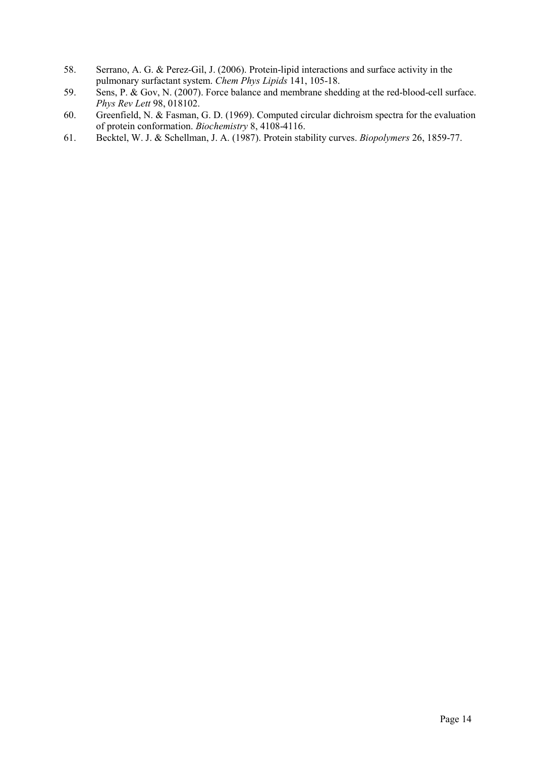- 58. Serrano, A. G. & Perez-Gil, J. (2006). Protein-lipid interactions and surface activity in the pulmonary surfactant system. Chem Phys Lipids 141, 105-18.
- 59. Sens, P. & Gov, N. (2007). Force balance and membrane shedding at the red-blood-cell surface. Phys Rev Lett 98, 018102.
- 60. Greenfield, N. & Fasman, G. D. (1969). Computed circular dichroism spectra for the evaluation of protein conformation. Biochemistry 8, 4108-4116.
- 61. Becktel, W. J. & Schellman, J. A. (1987). Protein stability curves. Biopolymers 26, 1859-77.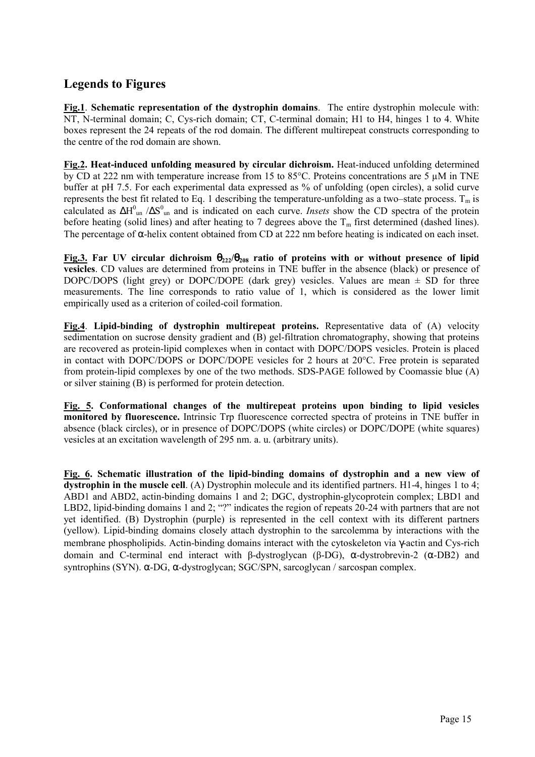# Legends to Figures

Fig.1. Schematic representation of the dystrophin domains. The entire dystrophin molecule with: NT, N-terminal domain; C, Cys-rich domain; CT, C-terminal domain; H1 to H4, hinges 1 to 4. White boxes represent the 24 repeats of the rod domain. The different multirepeat constructs corresponding to the centre of the rod domain are shown.

Fig.2. Heat-induced unfolding measured by circular dichroism. Heat-induced unfolding determined by CD at 222 nm with temperature increase from 15 to 85°C. Proteins concentrations are 5 µM in TNE buffer at pH 7.5. For each experimental data expressed as % of unfolding (open circles), a solid curve represents the best fit related to Eq. 1 describing the temperature-unfolding as a two–state process.  $T_m$  is calculated as  $\Delta H_{\text{un}}^0$  / $\Delta S_{\text{un}}^0$  and is indicated on each curve. *Insets* show the CD spectra of the protein before heating (solid lines) and after heating to 7 degrees above the  $T_m$  first determined (dashed lines). The percentage of α-helix content obtained from CD at 222 nm before heating is indicated on each inset.

Fig.3. Far UV circular dichroism  $\theta_{222}/\theta_{208}$  ratio of proteins with or without presence of lipid vesicles. CD values are determined from proteins in TNE buffer in the absence (black) or presence of DOPC/DOPS (light grey) or DOPC/DOPE (dark grey) vesicles. Values are mean  $\pm$  SD for three measurements. The line corresponds to ratio value of 1, which is considered as the lower limit empirically used as a criterion of coiled-coil formation.

Fig.4. Lipid-binding of dystrophin multirepeat proteins. Representative data of (A) velocity sedimentation on sucrose density gradient and (B) gel-filtration chromatography, showing that proteins are recovered as protein-lipid complexes when in contact with DOPC/DOPS vesicles. Protein is placed in contact with DOPC/DOPS or DOPC/DOPE vesicles for 2 hours at 20°C. Free protein is separated from protein-lipid complexes by one of the two methods. SDS-PAGE followed by Coomassie blue (A) or silver staining (B) is performed for protein detection.

Fig. 5. Conformational changes of the multirepeat proteins upon binding to lipid vesicles monitored by fluorescence. Intrinsic Trp fluorescence corrected spectra of proteins in TNE buffer in absence (black circles), or in presence of DOPC/DOPS (white circles) or DOPC/DOPE (white squares) vesicles at an excitation wavelength of 295 nm. a. u. (arbitrary units).

Fig. 6. Schematic illustration of the lipid-binding domains of dystrophin and a new view of dystrophin in the muscle cell. (A) Dystrophin molecule and its identified partners. H1-4, hinges 1 to 4; ABD1 and ABD2, actin-binding domains 1 and 2; DGC, dystrophin-glycoprotein complex; LBD1 and LBD2, lipid-binding domains 1 and 2; "?" indicates the region of repeats 20-24 with partners that are not yet identified. (B) Dystrophin (purple) is represented in the cell context with its different partners (yellow). Lipid-binding domains closely attach dystrophin to the sarcolemma by interactions with the membrane phospholipids. Actin-binding domains interact with the cytoskeleton via γ-actin and Cys-rich domain and C-terminal end interact with β-dystroglycan (β-DG), α-dystrobrevin-2 (α-DB2) and syntrophins (SYN). α-DG, α-dystroglycan; SGC/SPN, sarcoglycan / sarcospan complex.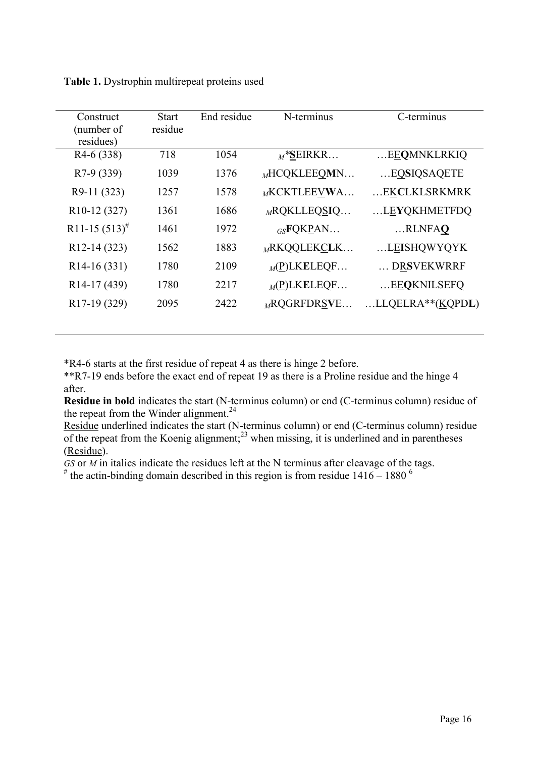| Construct                            | <b>Start</b> | End residue | N-terminus        | C-terminus            |
|--------------------------------------|--------------|-------------|-------------------|-----------------------|
| (number of                           | residue      |             |                   |                       |
| residues)                            |              |             |                   |                       |
| $R4-6(338)$                          | 718          | 1054        | $M^*$ SEIRKR      | EEQMNKLRKIQ           |
| R7-9 (339)                           | 1039         | 1376        | $M$ HCQKLEEQMN    | EQSIQSAQETE           |
|                                      |              |             |                   |                       |
| R9-11 (323)                          | 1257         | 1578        | $M$ KCKTLEEVWA    | EKCLKLSRKMRK          |
| R <sub>10</sub> -12 <sub>(327)</sub> | 1361         | 1686        | $_{M}$ RQKLLEQSIQ | LEYQKHMETFDQ          |
|                                      |              |             |                   |                       |
| R <sub>11</sub> -15 $(513)^{#}$      | 1461         | 1972        | $_{GS}$ FQKPAN    | RLNFAQ                |
| R <sub>12</sub> -14 (323)            | 1562         | 1883        | $M$ RKQQLEKCLK    | LEISHQWYQYK           |
|                                      |              |             |                   |                       |
| $R14-16(331)$                        | 1780         | 2109        | $_M(P)$ LKELEQF   | DRSVEKWRRF            |
| R <sub>14</sub> -17 (439)            | 1780         | 2217        | $_M(P)$ LKELEQF   | EEQKNILSEFQ           |
| R <sub>17</sub> -19 (329)            | 2095         | 2422        | $_{M}$ RQGRFDRSVE | $LLOELRA**$ $(KQPDL)$ |
|                                      |              |             |                   |                       |

Table 1. Dystrophin multirepeat proteins used

\*R4-6 starts at the first residue of repeat 4 as there is hinge 2 before.

\*\*R7-19 ends before the exact end of repeat 19 as there is a Proline residue and the hinge 4 after.

Residue in bold indicates the start (N-terminus column) or end (C-terminus column) residue of the repeat from the Winder alignment. $24$ 

Residue underlined indicates the start (N-terminus column) or end (C-terminus column) residue of the repeat from the Koenig alignment;<sup>23</sup> when missing, it is underlined and in parentheses (Residue).

 $GS$  or  $M$  in italics indicate the residues left at the N terminus after cleavage of the tags.

 $*$  the actin-binding domain described in this region is from residue  $1416 - 1880$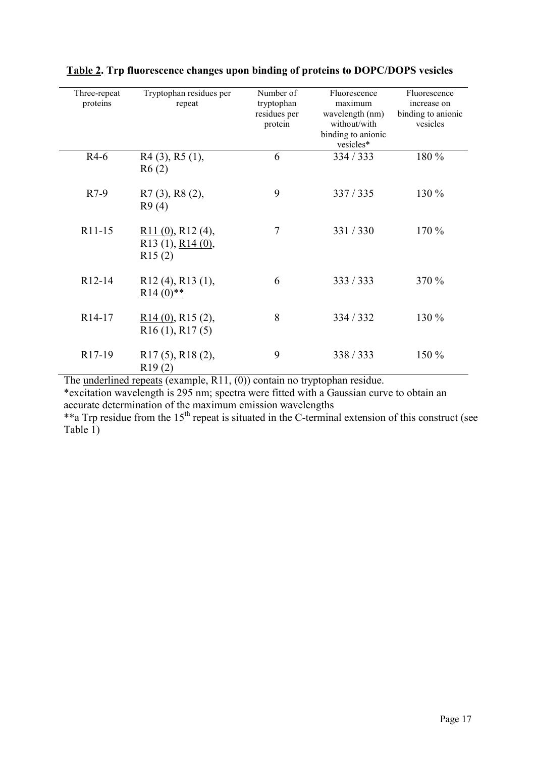| Three-repeat<br>proteins | Tryptophan residues per<br>repeat                                         | Number of<br>tryptophan<br>residues per<br>protein | Fluorescence<br>maximum<br>wavelength (nm)<br>without/with<br>binding to anionic<br>vesicles* | Fluorescence<br>increase on<br>binding to anionic<br>vesicles |
|--------------------------|---------------------------------------------------------------------------|----------------------------------------------------|-----------------------------------------------------------------------------------------------|---------------------------------------------------------------|
| $R4-6$                   | $R4(3)$ , $R5(1)$ ,<br>R6(2)                                              | 6                                                  | 334 / 333                                                                                     | 180 %                                                         |
| $R7-9$                   | R7 (3), R8 (2),<br>R9(4)                                                  | 9                                                  | 337/335                                                                                       | 130 %                                                         |
| R11-15                   | $R11(0)$ , R12(4),<br>R <sub>13</sub> (1), R <sub>14</sub> (0),<br>R15(2) | 7                                                  | 331 / 330                                                                                     | 170 %                                                         |
| R12-14                   | $R12(4)$ , $R13(1)$ ,<br>$R14(0)$ **                                      | 6                                                  | 333 / 333                                                                                     | 370 %                                                         |
| R <sub>14</sub> -17      | $R14(0)$ , R15(2),<br>R16(1), R17(5)                                      | 8                                                  | 334 / 332                                                                                     | 130 %                                                         |
| R17-19                   | $R17(5)$ , $R18(2)$ ,<br>R19(2)                                           | 9                                                  | 338/333                                                                                       | 150 %                                                         |

|  | <b>Table 2. Trp fluorescence changes upon binding of proteins to DOPC/DOPS vesicles</b> |  |  |  |  |
|--|-----------------------------------------------------------------------------------------|--|--|--|--|
|  |                                                                                         |  |  |  |  |

The underlined repeats (example, R11, (0)) contain no tryptophan residue.

\*excitation wavelength is 295 nm; spectra were fitted with a Gaussian curve to obtain an accurate determination of the maximum emission wavelengths

\*\*a Trp residue from the 15<sup>th</sup> repeat is situated in the C-terminal extension of this construct (see Table  $\overline{1}$ )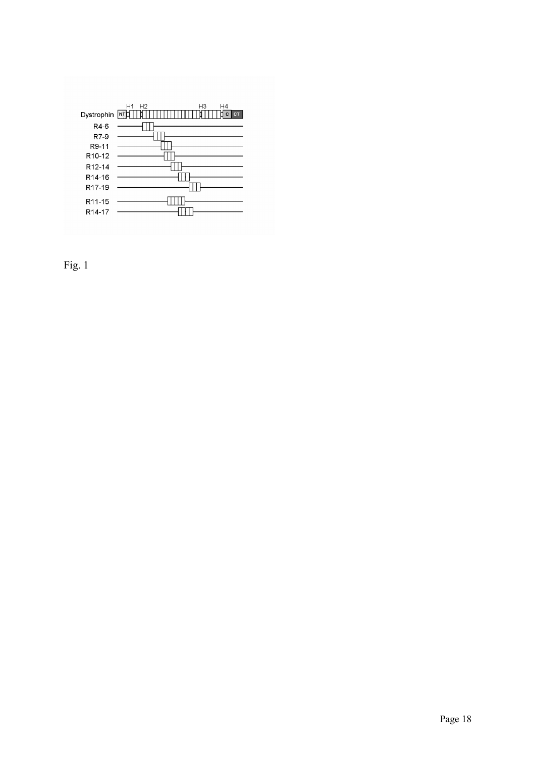

Fig. 1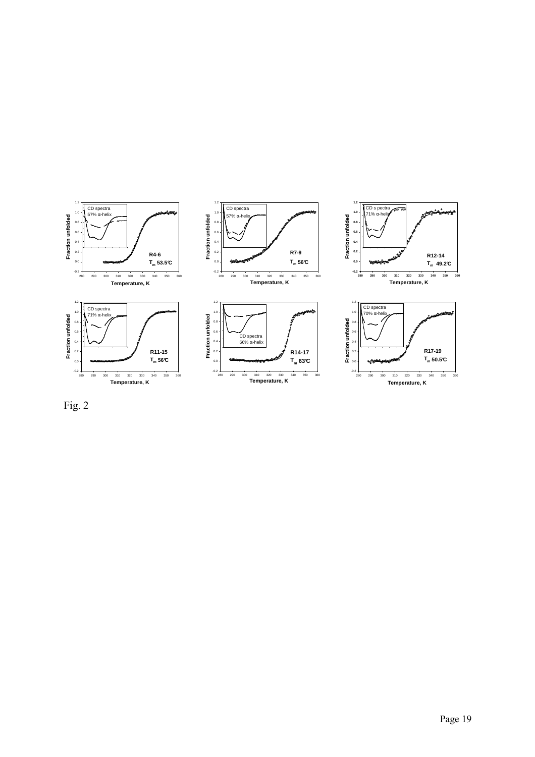

Fig. 2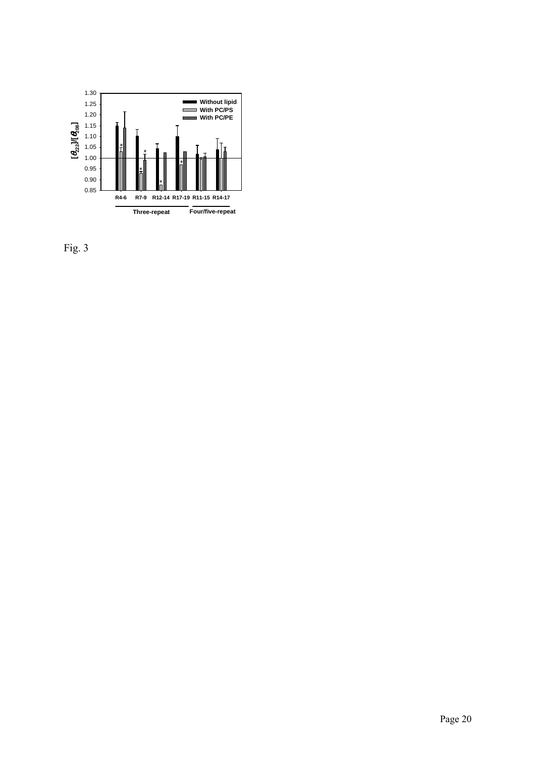

Fig. 3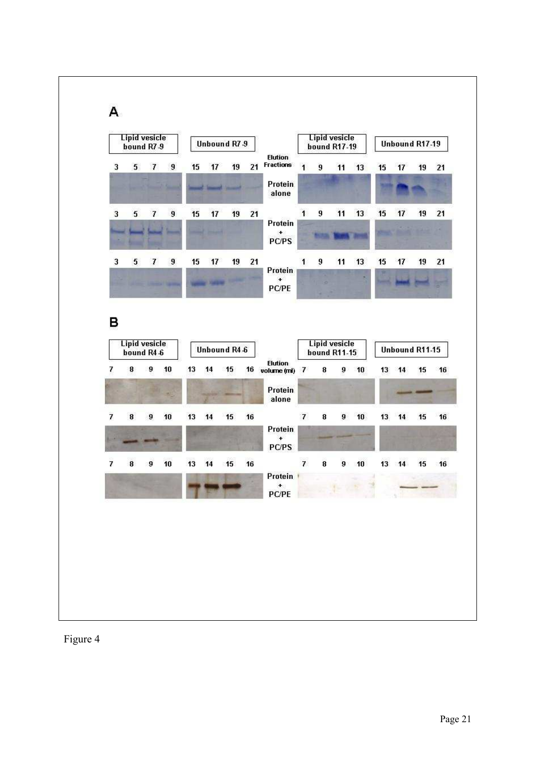

Figure 4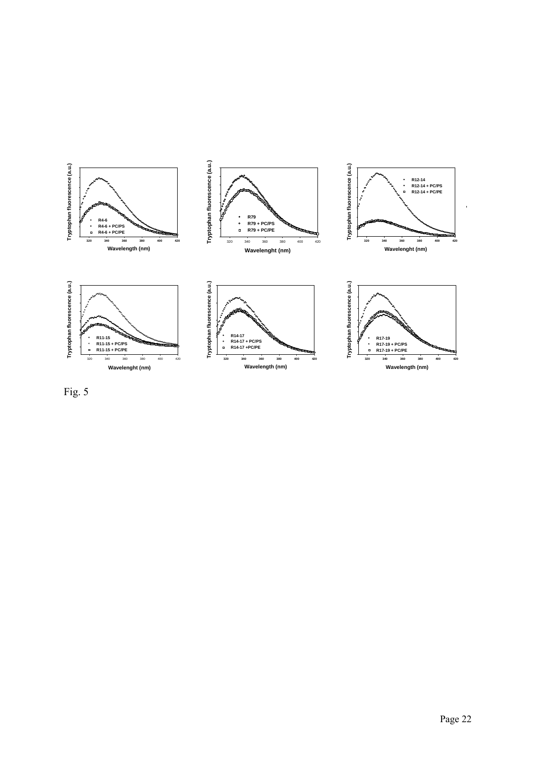

Fig. 5